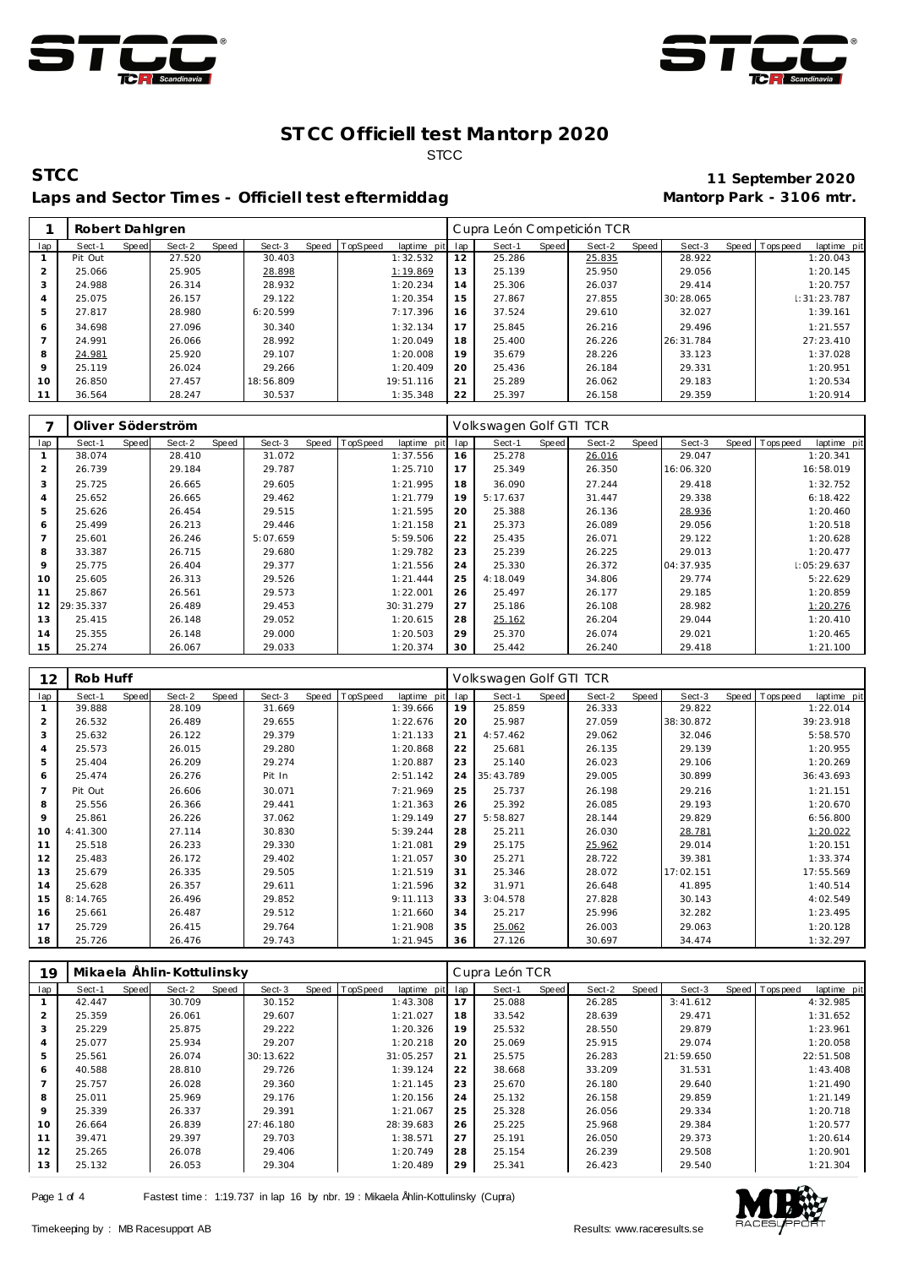



# **STCC 11 September 2020** Laps and Sector Times - Officiell test eftermiddag

|         | Robert Dahlgren |       |        |       |           |       |          |                 |    | Cupra León Competición TCR |       |        |       |           |                |             |
|---------|-----------------|-------|--------|-------|-----------|-------|----------|-----------------|----|----------------------------|-------|--------|-------|-----------|----------------|-------------|
| lap     | Sect-1          | Speed | Sect-2 | Speed | Sect-3    | Speed | TopSpeed | laptime pit lap |    | Sect-1                     | Speed | Sect-2 | Speed | Sect-3    | Speed Topspeed | laptime pit |
|         | Pit Out         |       | 27.520 |       | 30.403    |       |          | 1:32.532        | 12 | 25.286                     |       | 25.835 |       | 28.922    |                | 1:20.043    |
|         | 25.066          |       | 25.905 |       | 28.898    |       |          | 1:19.869        | 13 | 25.139                     |       | 25.950 |       | 29.056    |                | 1:20.145    |
|         | 24.988          |       | 26.314 |       | 28.932    |       |          | 1:20.234        | 14 | 25.306                     |       | 26.037 |       | 29.414    |                | 1:20.757    |
|         | 25.075          |       | 26.157 |       | 29.122    |       |          | 1:20.354        | 15 | 27.867                     |       | 27.855 |       | 30:28.065 |                | 1:31:23.787 |
| 5       | 27.817          |       | 28.980 |       | 6:20.599  |       |          | 7:17.396        | 16 | 37.524                     |       | 29.610 |       | 32.027    |                | 1:39.161    |
| 6       | 34.698          |       | 27.096 |       | 30.340    |       |          | 1:32.134        | 17 | 25.845                     |       | 26.216 |       | 29.496    |                | 1:21.557    |
|         | 24.991          |       | 26.066 |       | 28.992    |       |          | 1:20.049        | 18 | 25.400                     |       | 26.226 |       | 26:31.784 |                | 27:23.410   |
| 8       | 24.981          |       | 25.920 |       | 29.107    |       |          | 1:20.008        | 19 | 35.679                     |       | 28.226 |       | 33.123    |                | 1:37.028    |
| $\circ$ | 25.119          |       | 26.024 |       | 29.266    |       |          | 1:20.409        | 20 | 25.436                     |       | 26.184 |       | 29.331    |                | 1:20.951    |
| 10      | 26.850          |       | 27.457 |       | 18:56.809 |       |          | 19:51.116       | 21 | 25.289                     |       | 26.062 |       | 29.183    |                | 1:20.534    |
| 11      | 36.564          |       | 28.247 |       | 30.537    |       |          | 1:35.348        | 22 | 25.397                     |       | 26.158 |       | 29.359    |                | 1:20.914    |

|                |              |       | Oliver Söderström |       |          |                |             |     | Volkswagen Golf GTI TCR |       |        |       |           |                  |             |
|----------------|--------------|-------|-------------------|-------|----------|----------------|-------------|-----|-------------------------|-------|--------|-------|-----------|------------------|-------------|
| lap            | Sect-1       | Speed | Sect-2            | Speed | Sect-3   | Speed TopSpeed | laptime pit | lap | Sect-1                  | Speed | Sect-2 | Speed | Sect-3    | Speed   Topspeed | laptime pit |
|                | 38.074       |       | 28.410            |       | 31.072   |                | 1:37.556    | 16  | 25.278                  |       | 26.016 |       | 29.047    |                  | 1:20.341    |
| $\overline{2}$ | 26.739       |       | 29.184            |       | 29.787   |                | 1:25.710    | 17  | 25.349                  |       | 26.350 |       | 16:06.320 |                  | 16:58.019   |
| 3              | 25.725       |       | 26.665            |       | 29.605   |                | 1:21.995    | 18  | 36.090                  |       | 27.244 |       | 29.418    |                  | 1:32.752    |
| $\overline{4}$ | 25.652       |       | 26.665            |       | 29.462   |                | 1:21.779    | 19  | 5:17.637                |       | 31.447 |       | 29.338    |                  | 6:18.422    |
| 5              | 25.626       |       | 26.454            |       | 29.515   |                | 1:21.595    | 20  | 25.388                  |       | 26.136 |       | 28.936    |                  | 1:20.460    |
| 6              | 25.499       |       | 26.213            |       | 29.446   |                | 1:21.158    | 21  | 25.373                  |       | 26.089 |       | 29.056    |                  | 1:20.518    |
| $\overline{7}$ | 25.601       |       | 26.246            |       | 5:07.659 |                | 5:59.506    | 22  | 25.435                  |       | 26.071 |       | 29.122    |                  | 1:20.628    |
| 8              | 33.387       |       | 26.715            |       | 29.680   |                | 1:29.782    | 23  | 25.239                  |       | 26.225 |       | 29.013    |                  | 1:20.477    |
| 9              | 25.775       |       | 26.404            |       | 29.377   |                | 1:21.556    | 24  | 25.330                  |       | 26.372 |       | 04:37.935 |                  | 1:05:29.637 |
| 10             | 25.605       |       | 26.313            |       | 29.526   |                | 1:21.444    | 25  | 4:18.049                |       | 34.806 |       | 29.774    |                  | 5:22.629    |
| 11             | 25.867       |       | 26.561            |       | 29.573   |                | 1:22.001    | 26  | 25.497                  |       | 26.177 |       | 29.185    |                  | 1:20.859    |
|                | 12 29:35.337 |       | 26.489            |       | 29.453   |                | 30:31.279   | 27  | 25.186                  |       | 26.108 |       | 28.982    |                  | 1:20.276    |
| 13             | 25.415       |       | 26.148            |       | 29.052   |                | 1:20.615    | 28  | 25.162                  |       | 26.204 |       | 29.044    |                  | 1:20.410    |
| 14             | 25.355       |       | 26.148            |       | 29.000   |                | 1:20.503    | 29  | 25.370                  |       | 26.074 |       | 29.021    |                  | 1:20.465    |
| 15             | 25.274       |       | 26.067            |       | 29.033   |                | 1:20.374    | 30  | 25.442                  |       | 26.240 |       | 29.418    |                  | 1:21.100    |

| 12  | Rob Huff |       |        |       |        |       |          |             |     | Volkswagen Golf GTI TCR |              |        |       |           |                  |             |
|-----|----------|-------|--------|-------|--------|-------|----------|-------------|-----|-------------------------|--------------|--------|-------|-----------|------------------|-------------|
| lap | Sect-1   | Speed | Sect-2 | Speed | Sect-3 | Speed | TopSpeed | laptime pit | lap | Sect-1                  | <b>Speed</b> | Sect-2 | Speed | Sect-3    | Speed   Topspeed | laptime pit |
|     | 39.888   |       | 28.109 |       | 31.669 |       |          | 1:39.666    | 19  | 25.859                  |              | 26.333 |       | 29.822    |                  | 1:22.014    |
| 2   | 26.532   |       | 26.489 |       | 29.655 |       |          | 1:22.676    | 20  | 25.987                  |              | 27.059 |       | 38:30.872 |                  | 39:23.918   |
| 3   | 25.632   |       | 26.122 |       | 29.379 |       |          | 1:21.133    | 21  | 4:57.462                |              | 29.062 |       | 32.046    |                  | 5:58.570    |
| 4   | 25.573   |       | 26.015 |       | 29.280 |       |          | 1:20.868    | 22  | 25.681                  |              | 26.135 |       | 29.139    |                  | 1:20.955    |
| 5   | 25.404   |       | 26.209 |       | 29.274 |       |          | 1:20.887    | 23  | 25.140                  |              | 26.023 |       | 29.106    |                  | 1:20.269    |
| 6   | 25.474   |       | 26.276 |       | Pit In |       |          | 2:51.142    | 24  | 35:43.789               |              | 29.005 |       | 30.899    |                  | 36:43.693   |
| 7   | Pit Out  |       | 26.606 |       | 30.071 |       |          | 7:21.969    | 25  | 25.737                  |              | 26.198 |       | 29.216    |                  | 1:21.151    |
| 8   | 25.556   |       | 26.366 |       | 29.441 |       |          | 1:21.363    | 26  | 25.392                  |              | 26.085 |       | 29.193    |                  | 1:20.670    |
| 9   | 25.861   |       | 26.226 |       | 37.062 |       |          | 1:29.149    | 27  | 5:58.827                |              | 28.144 |       | 29.829    |                  | 6:56.800    |
| 10  | 4:41.300 |       | 27.114 |       | 30.830 |       |          | 5:39.244    | 28  | 25.211                  |              | 26.030 |       | 28.781    |                  | 1:20.022    |
| 11  | 25.518   |       | 26.233 |       | 29.330 |       |          | 1:21.081    | 29  | 25.175                  |              | 25.962 |       | 29.014    |                  | 1:20.151    |
| 12  | 25.483   |       | 26.172 |       | 29.402 |       |          | 1:21.057    | 30  | 25.271                  |              | 28.722 |       | 39.381    |                  | 1:33.374    |
| 13  | 25.679   |       | 26.335 |       | 29.505 |       |          | 1:21.519    | 31  | 25.346                  |              | 28.072 |       | 17:02.151 |                  | 17:55.569   |
| 14  | 25.628   |       | 26.357 |       | 29.611 |       |          | 1:21.596    | 32  | 31.971                  |              | 26.648 |       | 41.895    |                  | 1:40.514    |
| 15  | 8:14.765 |       | 26.496 |       | 29.852 |       |          | 9:11.113    | 33  | 3:04.578                |              | 27.828 |       | 30.143    |                  | 4:02.549    |
| 16  | 25.661   |       | 26.487 |       | 29.512 |       |          | 1:21.660    | 34  | 25.217                  |              | 25.996 |       | 32.282    |                  | 1:23.495    |
| 17  | 25.729   |       | 26.415 |       | 29.764 |       |          | 1:21.908    | 35  | 25.062                  |              | 26.003 |       | 29.063    |                  | 1:20.128    |
| 18  | 25.726   |       | 26.476 |       | 29.743 |       |          | 1:21.945    | 36  | 27.126                  |              | 30.697 |       | 34.474    |                  | 1:32.297    |

| 19  |        |       | Mikaela Ählin-Kottulinsky |       |           |       |          |             |     | Cupra León TCR |       |        |       |           |                |             |
|-----|--------|-------|---------------------------|-------|-----------|-------|----------|-------------|-----|----------------|-------|--------|-------|-----------|----------------|-------------|
| lap | Sect-1 | Speed | Sect-2                    | Speed | Sect-3    | Speed | TopSpeed | laptime pit | lap | Sect-1         | Speed | Sect-2 | Speed | Sect-3    | Speed Topspeed | laptime pit |
|     | 42.447 |       | 30.709                    |       | 30.152    |       |          | 1:43.308    | 17  | 25.088         |       | 26.285 |       | 3:41.612  |                | 4:32.985    |
|     | 25.359 |       | 26.061                    |       | 29.607    |       |          | 1:21.027    | 18  | 33.542         |       | 28.639 |       | 29.471    |                | 1:31.652    |
| 3   | 25.229 |       | 25.875                    |       | 29.222    |       |          | 1:20.326    | 19  | 25.532         |       | 28.550 |       | 29.879    |                | 1:23.961    |
| 4   | 25.077 |       | 25.934                    |       | 29.207    |       |          | 1:20.218    | 20  | 25.069         |       | 25.915 |       | 29.074    |                | 1:20.058    |
| 5   | 25.561 |       | 26.074                    |       | 30:13.622 |       |          | 31:05.257   | 21  | 25.575         |       | 26.283 |       | 21:59.650 |                | 22:51.508   |
| 6   | 40.588 |       | 28.810                    |       | 29.726    |       |          | 1:39.124    | 22  | 38.668         |       | 33.209 |       | 31.531    |                | 1:43.408    |
|     | 25.757 |       | 26.028                    |       | 29.360    |       |          | 1:21.145    | 23  | 25.670         |       | 26.180 |       | 29.640    |                | 1:21.490    |
| 8   | 25.011 |       | 25.969                    |       | 29.176    |       |          | 1:20.156    | 24  | 25.132         |       | 26.158 |       | 29.859    |                | 1:21.149    |
| 9   | 25.339 |       | 26.337                    |       | 29.391    |       |          | 1:21.067    | 25  | 25.328         |       | 26.056 |       | 29.334    |                | 1:20.718    |
| 10  | 26.664 |       | 26.839                    |       | 27:46.180 |       |          | 28:39.683   | 26  | 25.225         |       | 25.968 |       | 29.384    |                | 1:20.577    |
| 11  | 39.471 |       | 29.397                    |       | 29.703    |       |          | 1:38.571    | 27  | 25.191         |       | 26.050 |       | 29.373    |                | 1:20.614    |
| 12  | 25.265 |       | 26.078                    |       | 29.406    |       |          | 1:20.749    | 28  | 25.154         |       | 26.239 |       | 29.508    |                | 1:20.901    |
| 13  | 25.132 |       | 26.053                    |       | 29.304    |       |          | 1:20.489    | 29  | 25.341         |       | 26.423 |       | 29.540    |                | 1:21.304    |

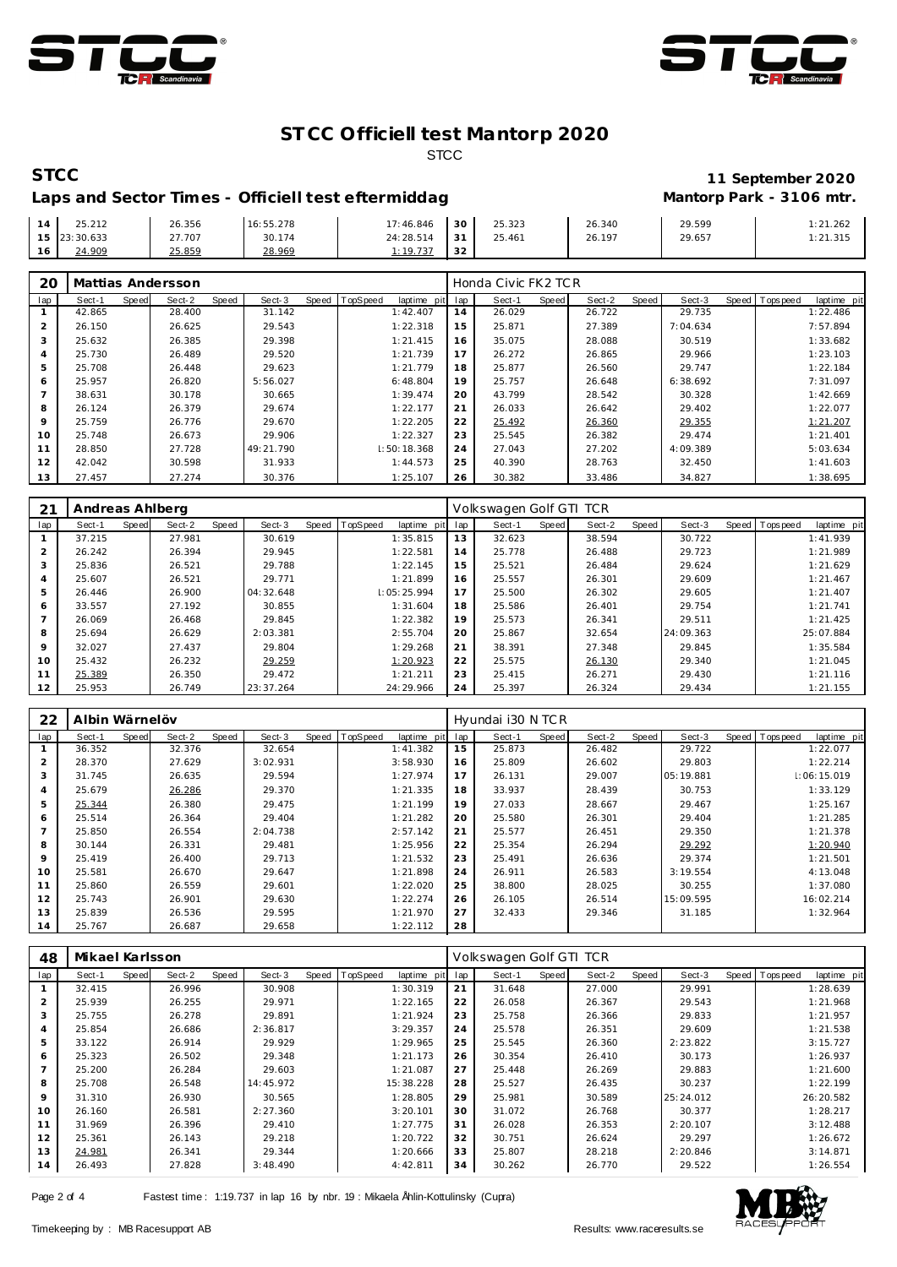



# **STCC 11 September 2020** Laps and Sector Times - Officiell test eftermiddag

|    | .212         | 26.356 | 16:55.278 | 17:46.846 | 30                 | 25.323 | 26.340 | 29.599 | : 21.262 |
|----|--------------|--------|-----------|-----------|--------------------|--------|--------|--------|----------|
|    | 15 23:30.633 | 27.707 | 30.174    | 24:28.514 | $\sim$ $\sim$<br>ು | 25.461 | 26.197 | 29.657 | 1:21.315 |
| 16 | 24.909       | 25.859 | 28.969    | .10727    | $\sim$<br>ے ت      |        |        |        |          |

| 20      |        |       | Mattias Andersson |       |           |       |          |             |     | Honda Civic FK2 TCR |       |        |       |          |       |          |             |
|---------|--------|-------|-------------------|-------|-----------|-------|----------|-------------|-----|---------------------|-------|--------|-------|----------|-------|----------|-------------|
| lap     | Sect-1 | Speed | Sect-2            | Speed | Sect-3    | Speed | TopSpeed | laptime pit | lap | Sect-1              | Speed | Sect-2 | Speed | Sect-3   | Speed | Topspeed | laptime pit |
|         | 42.865 |       | 28.400            |       | 31.142    |       |          | 1:42.407    | 14  | 26.029              |       | 26.722 |       | 29.735   |       |          | 1:22.486    |
| 2       | 26.150 |       | 26.625            |       | 29.543    |       |          | 1:22.318    | 15  | 25.871              |       | 27.389 |       | 7:04.634 |       |          | 7:57.894    |
| 3       | 25.632 |       | 26.385            |       | 29.398    |       |          | 1:21.415    | 16  | 35.075              |       | 28.088 |       | 30.519   |       |          | 1:33.682    |
|         | 25.730 |       | 26.489            |       | 29.520    |       |          | 1:21.739    | 17  | 26.272              |       | 26.865 |       | 29.966   |       |          | 1:23.103    |
| 5       | 25.708 |       | 26.448            |       | 29.623    |       |          | 1:21.779    | 18  | 25.877              |       | 26.560 |       | 29.747   |       |          | 1:22.184    |
| 6       | 25.957 |       | 26.820            |       | 5:56.027  |       |          | 6:48.804    | 19  | 25.757              |       | 26.648 |       | 6:38.692 |       |          | 7:31.097    |
|         | 38.631 |       | 30.178            |       | 30.665    |       |          | 1:39.474    | 20  | 43.799              |       | 28.542 |       | 30.328   |       |          | 1:42.669    |
| 8       | 26.124 |       | 26.379            |       | 29.674    |       |          | 1:22.177    | 21  | 26.033              |       | 26.642 |       | 29.402   |       |          | 1:22.077    |
| $\circ$ | 25.759 |       | 26.776            |       | 29.670    |       |          | 1:22.205    | 22  | 25.492              |       | 26.360 |       | 29.355   |       |          | 1:21.207    |
| 10      | 25.748 |       | 26.673            |       | 29.906    |       |          | 1:22.327    | 23  | 25.545              |       | 26.382 |       | 29.474   |       |          | 1:21.401    |
| 11      | 28.850 |       | 27.728            |       | 49:21.790 |       |          | 1:50:18.368 | 24  | 27.043              |       | 27.202 |       | 4:09.389 |       |          | 5:03.634    |
| 12      | 42.042 |       | 30.598            |       | 31.933    |       |          | 1:44.573    | 25  | 40.390              |       | 28.763 |       | 32.450   |       |          | 1:41.603    |
| 13      | 27.457 |       | 27.274            |       | 30.376    |       |          | 1:25.107    | 26  | 30.382              |       | 33.486 |       | 34.827   |       |          | 1:38.695    |

| 21             | Andreas Ahlberg |       |        |       |           |       |          |             |     | Volkswagen Golf GTI TCR |       |        |       |           |                  |             |
|----------------|-----------------|-------|--------|-------|-----------|-------|----------|-------------|-----|-------------------------|-------|--------|-------|-----------|------------------|-------------|
| lap            | Sect-1          | Speed | Sect-2 | Speed | Sect-3    | Speed | TopSpeed | laptime pit | lap | Sect-1                  | Speed | Sect-2 | Speed | Sect-3    | Speed   Topspeed | laptime pit |
|                | 37.215          |       | 27.981 |       | 30.619    |       |          | 1:35.815    | 13  | 32.623                  |       | 38.594 |       | 30.722    |                  | 1:41.939    |
| $\overline{2}$ | 26.242          |       | 26.394 |       | 29.945    |       |          | 1:22.581    | 14  | 25.778                  |       | 26.488 |       | 29.723    |                  | 1:21.989    |
| 3              | 25.836          |       | 26.521 |       | 29.788    |       |          | 1:22.145    | 15  | 25.521                  |       | 26.484 |       | 29.624    |                  | 1:21.629    |
| 4              | 25.607          |       | 26.521 |       | 29.771    |       |          | 1:21.899    | 16  | 25.557                  |       | 26.301 |       | 29.609    |                  | 1:21.467    |
| 5              | 26.446          |       | 26.900 |       | 04:32.648 |       |          | 1:05:25.994 | 17  | 25.500                  |       | 26.302 |       | 29.605    |                  | 1:21.407    |
| 6              | 33.557          |       | 27.192 |       | 30.855    |       |          | 1:31.604    | 18  | 25.586                  |       | 26.401 |       | 29.754    |                  | 1:21.741    |
|                | 26.069          |       | 26.468 |       | 29.845    |       |          | 1:22.382    | 19  | 25.573                  |       | 26.341 |       | 29.511    |                  | 1:21.425    |
| 8              | 25.694          |       | 26.629 |       | 2:03.381  |       |          | 2:55.704    | 20  | 25.867                  |       | 32.654 |       | 24:09.363 |                  | 25:07.884   |
| 9              | 32.027          |       | 27.437 |       | 29.804    |       |          | 1:29.268    | 21  | 38.391                  |       | 27.348 |       | 29.845    |                  | 1:35.584    |
| 10             | 25.432          |       | 26.232 |       | 29.259    |       |          | 1:20.923    | 22  | 25.575                  |       | 26.130 |       | 29.340    |                  | 1:21.045    |
| 11             | 25.389          |       | 26.350 |       | 29.472    |       |          | 1:21.211    | 23  | 25.415                  |       | 26.271 |       | 29.430    |                  | 1:21.116    |
| 12             | 25.953          |       | 26.749 |       | 23:37.264 |       |          | 24:29.966   | 24  | 25.397                  |       | 26.324 |       | 29.434    |                  | 1:21.155    |

| 22             | Albin Wärnelöv |              |        |       |          |       |                 |             |     | Hyundai i30 N TCR |       |        |       |           |                |             |
|----------------|----------------|--------------|--------|-------|----------|-------|-----------------|-------------|-----|-------------------|-------|--------|-------|-----------|----------------|-------------|
| lap            | Sect-1         | <b>Speed</b> | Sect-2 | Speed | Sect-3   | Speed | <b>TopSpeed</b> | laptime pit | lap | Sect-1            | Speed | Sect-2 | Speed | Sect-3    | Speed Topspeed | laptime pit |
|                | 36.352         |              | 32.376 |       | 32.654   |       |                 | 1:41.382    | 15  | 25.873            |       | 26.482 |       | 29.722    |                | 1:22.077    |
| $\overline{2}$ | 28.370         |              | 27.629 |       | 3:02.931 |       |                 | 3:58.930    | 16  | 25.809            |       | 26.602 |       | 29.803    |                | 1:22.214    |
| 3              | 31.745         |              | 26.635 |       | 29.594   |       |                 | 1:27.974    | 17  | 26.131            |       | 29.007 |       | 05:19.881 |                | 1:06:15.019 |
| $\overline{4}$ | 25.679         |              | 26.286 |       | 29.370   |       |                 | 1:21.335    | 18  | 33.937            |       | 28.439 |       | 30.753    |                | 1:33.129    |
| 5              | 25.344         |              | 26.380 |       | 29.475   |       |                 | 1:21.199    | 19  | 27.033            |       | 28.667 |       | 29.467    |                | 1:25.167    |
| 6              | 25.514         |              | 26.364 |       | 29.404   |       |                 | 1:21.282    | 20  | 25.580            |       | 26.301 |       | 29.404    |                | 1:21.285    |
|                | 25.850         |              | 26.554 |       | 2:04.738 |       |                 | 2:57.142    | 21  | 25.577            |       | 26.451 |       | 29.350    |                | 1:21.378    |
| 8              | 30.144         |              | 26.331 |       | 29.481   |       |                 | 1:25.956    | 22  | 25.354            |       | 26.294 |       | 29.292    |                | 1:20.940    |
| $\mathsf Q$    | 25.419         |              | 26.400 |       | 29.713   |       |                 | 1:21.532    | 23  | 25.491            |       | 26.636 |       | 29.374    |                | 1:21.501    |
| 10             | 25.581         |              | 26.670 |       | 29.647   |       |                 | 1:21.898    | 24  | 26.911            |       | 26.583 |       | 3:19.554  |                | 4:13.048    |
| 11             | 25.860         |              | 26.559 |       | 29.601   |       |                 | 1:22.020    | 25  | 38,800            |       | 28.025 |       | 30.255    |                | 1:37.080    |
| 12             | 25.743         |              | 26.901 |       | 29.630   |       |                 | 1:22.274    | 26  | 26.105            |       | 26.514 |       | 15:09.595 |                | 16:02.214   |
| 13             | 25.839         |              | 26.536 |       | 29.595   |       |                 | 1:21.970    | 27  | 32.433            |       | 29.346 |       | 31.185    |                | 1:32.964    |
| 14             | 25.767         |              | 26.687 |       | 29.658   |       |                 | 1:22.112    | 28  |                   |       |        |       |           |                |             |

| 48  | Mikael Karlsson |       |        |       |           |       |          |             |     | Volkswagen Golf GTI TCR |       |        |       |           |                |             |
|-----|-----------------|-------|--------|-------|-----------|-------|----------|-------------|-----|-------------------------|-------|--------|-------|-----------|----------------|-------------|
| lap | Sect-1          | Speed | Sect-2 | Speed | Sect-3    | Speed | TopSpeed | laptime pit | lap | Sect-1                  | Speed | Sect-2 | Speed | Sect-3    | Speed Topspeed | laptime pit |
|     | 32.415          |       | 26.996 |       | 30.908    |       |          | 1:30.319    | 21  | 31.648                  |       | 27.000 |       | 29.991    |                | 1:28.639    |
| 2   | 25.939          |       | 26.255 |       | 29.971    |       |          | 1:22.165    | 22  | 26.058                  |       | 26.367 |       | 29.543    |                | 1:21.968    |
| 3   | 25.755          |       | 26.278 |       | 29.891    |       |          | 1:21.924    | 23  | 25.758                  |       | 26.366 |       | 29.833    |                | 1:21.957    |
| 4   | 25.854          |       | 26.686 |       | 2:36.817  |       |          | 3:29.357    | 24  | 25.578                  |       | 26.351 |       | 29.609    |                | 1:21.538    |
| 5   | 33.122          |       | 26.914 |       | 29.929    |       |          | 1:29.965    | 25  | 25.545                  |       | 26.360 |       | 2:23.822  |                | 3:15.727    |
| 6   | 25.323          |       | 26.502 |       | 29.348    |       |          | 1:21.173    | 26  | 30.354                  |       | 26.410 |       | 30.173    |                | 1:26.937    |
|     | 25.200          |       | 26.284 |       | 29.603    |       |          | 1:21.087    | 27  | 25.448                  |       | 26.269 |       | 29.883    |                | 1:21.600    |
| 8   | 25.708          |       | 26.548 |       | 14:45.972 |       |          | 15:38.228   | 28  | 25.527                  |       | 26.435 |       | 30.237    |                | 1:22.199    |
| 9   | 31.310          |       | 26.930 |       | 30.565    |       |          | 1:28.805    | 29  | 25.981                  |       | 30.589 |       | 25:24.012 |                | 26:20.582   |
| 10  | 26.160          |       | 26.581 |       | 2:27.360  |       |          | 3:20.101    | 30  | 31.072                  |       | 26.768 |       | 30.377    |                | 1:28.217    |
| 11  | 31.969          |       | 26.396 |       | 29.410    |       |          | 1:27.775    | 31  | 26.028                  |       | 26.353 |       | 2:20.107  |                | 3:12.488    |
| 12  | 25.361          |       | 26.143 |       | 29.218    |       |          | 1:20.722    | 32  | 30.751                  |       | 26.624 |       | 29.297    |                | 1:26.672    |
| 13  | 24.981          |       | 26.341 |       | 29.344    |       |          | 1:20.666    | 33  | 25.807                  |       | 28.218 |       | 2:20.846  |                | 3:14.871    |
| 14  | 26.493          |       | 27.828 |       | 3:48.490  |       |          | 4:42.811    | 34  | 30.262                  |       | 26.770 |       | 29.522    |                | 1:26.554    |

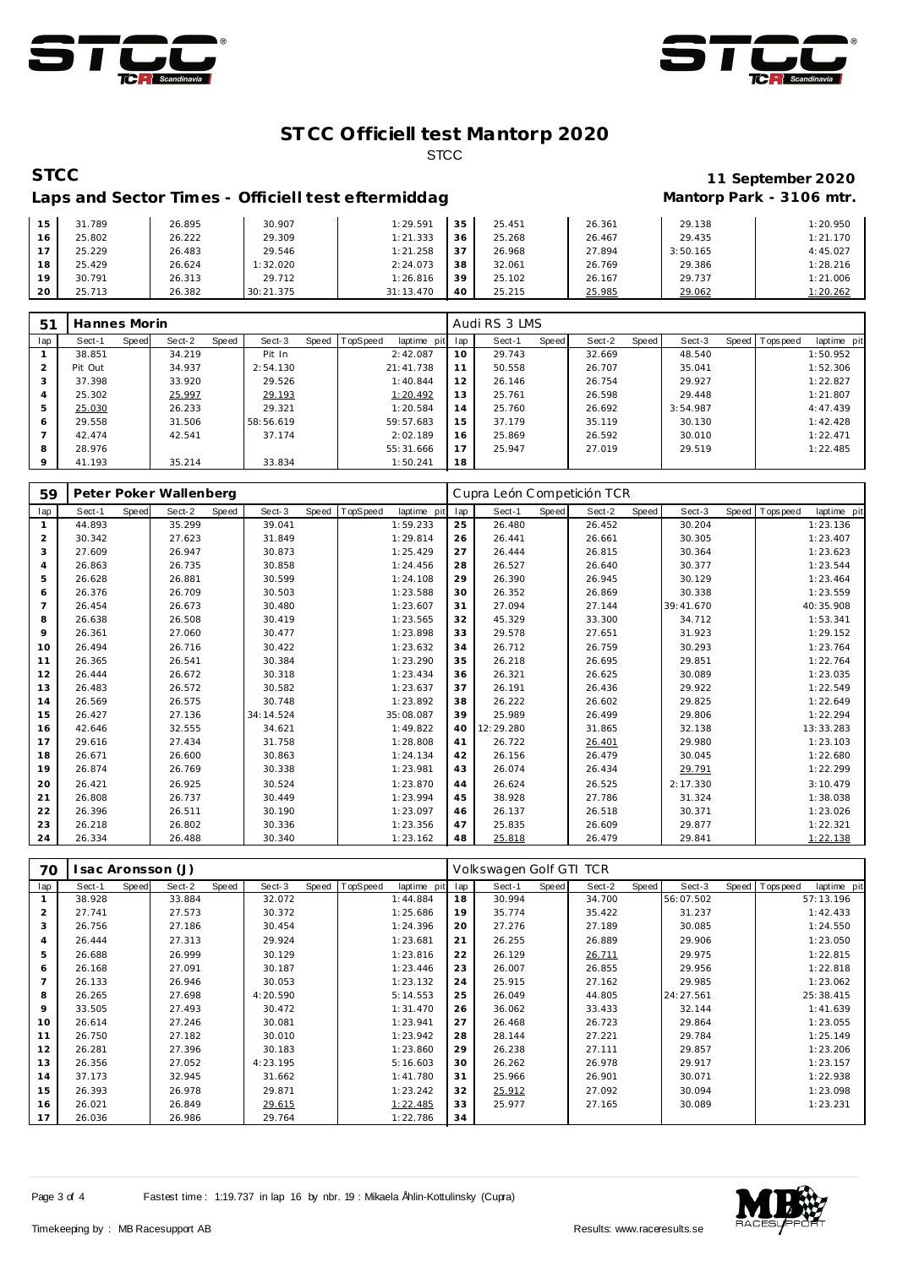



# Laps and Sector Times - Officiell test eftermiddag **Mantorp Park - 3106 mtr.**

# **STCC 11 September 2020**

| 15             | 31.789 | 26.895 | 30.907    | 1:29.591  | 35 | 25.451 | 26.361 | 29.138   | 1:20.950 |
|----------------|--------|--------|-----------|-----------|----|--------|--------|----------|----------|
| 16             | 25.802 | 26.222 | 29.309    | 1:21.333  | 36 | 25.268 | 26.467 | 29.435   | 1:21.170 |
| 7 <sub>7</sub> | 25.229 | 26.483 | 29.546    | 1:21.258  | 37 | 26.968 | 27.894 | 3:50.165 | 4:45.027 |
| 18             | 25.429 | 26.624 | 1:32.020  | 2:24.073  | 38 | 32.061 | 26.769 | 29.386   | 1:28.216 |
| 19             | 30.791 | 26.313 | 29.712    | 1:26.816  | 39 | 25.102 | 26.167 | 29.737   | 1:21.006 |
| 20             | 25.713 | 26.382 | 30:21.375 | 31:13.470 | 40 | 25.215 | 25.985 | 29.062   | 1:20.262 |

| 5 <sup>1</sup> | Hannes Morin |       |        |       |           |       |                 |             |     | Audi RS 3 LMS |       |        |       |          |              |           |             |
|----------------|--------------|-------|--------|-------|-----------|-------|-----------------|-------------|-----|---------------|-------|--------|-------|----------|--------------|-----------|-------------|
| lap            | Sect-1       | Speed | Sect-2 | Speed | Sect-3    | Speed | <b>TopSpeed</b> | laptime pit | lap | Sect-1        | Speed | Sect-2 | Speed | Sect-3   | <b>Speed</b> | Tops peed | laptime pit |
|                | 38.851       |       | 34.219 |       | Pit In    |       |                 | 2:42.087    | 10  | 29.743        |       | 32.669 |       | 48.540   |              |           | 1:50.952    |
|                | Pit Out      |       | 34.937 |       | 2:54.130  |       |                 | 21:41.738   | 11  | 50.558        |       | 26.707 |       | 35.041   |              |           | 1:52.306    |
|                | 37.398       |       | 33.920 |       | 29.526    |       |                 | 1:40.844    | 12  | 26.146        |       | 26.754 |       | 29.927   |              |           | 1:22.827    |
|                | 25.302       |       | 25.997 |       | 29.193    |       |                 | 1:20.492    | 13  | 25.761        |       | 26.598 |       | 29.448   |              |           | 1:21.807    |
|                | 25.030       |       | 26.233 |       | 29.321    |       |                 | 1:20.584    | 14  | 25.760        |       | 26.692 |       | 3:54.987 |              |           | 4:47.439    |
| 6              | 29.558       |       | 31.506 |       | 58:56.619 |       |                 | 59:57.683   | 15  | 37.179        |       | 35.119 |       | 30.130   |              |           | 1:42.428    |
|                | 42.474       |       | 42.541 |       | 37.174    |       |                 | 2:02.189    | 16  | 25.869        |       | 26.592 |       | 30.010   |              |           | 1:22.471    |
| 8              | 28.976       |       |        |       |           |       |                 | 55:31.666   | 17  | 25.947        |       | 27.019 |       | 29.519   |              |           | 1:22.485    |
| $\circ$        | 41.193       |       | 35.214 |       | 33.834    |       |                 | 1:50.241    | 18  |               |       |        |       |          |              |           |             |

| 59             |        |              | Peter Poker Wallenberg |       |           |       |          |             |     | Cupra León Competición TCR |       |        |       |           |       |            |             |
|----------------|--------|--------------|------------------------|-------|-----------|-------|----------|-------------|-----|----------------------------|-------|--------|-------|-----------|-------|------------|-------------|
| lap            | Sect-1 | <b>Speed</b> | Sect-2                 | Speed | Sect-3    | Speed | TopSpeed | laptime pit | lap | Sect-1                     | Speed | Sect-2 | Speed | Sect-3    | Speed | T ops peed | laptime pit |
| $\mathbf{1}$   | 44.893 |              | 35.299                 |       | 39.041    |       |          | 1:59.233    | 25  | 26.480                     |       | 26.452 |       | 30.204    |       |            | 1:23.136    |
| 2              | 30.342 |              | 27.623                 |       | 31.849    |       |          | 1:29.814    | 26  | 26.441                     |       | 26.661 |       | 30.305    |       |            | 1:23.407    |
| 3              | 27.609 |              | 26.947                 |       | 30.873    |       |          | 1:25.429    | 27  | 26.444                     |       | 26.815 |       | 30.364    |       |            | 1:23.623    |
| 4              | 26.863 |              | 26.735                 |       | 30.858    |       |          | 1:24.456    | 28  | 26.527                     |       | 26.640 |       | 30.377    |       |            | 1:23.544    |
| 5              | 26.628 |              | 26.881                 |       | 30.599    |       |          | 1:24.108    | 29  | 26.390                     |       | 26.945 |       | 30.129    |       |            | 1:23.464    |
| 6              | 26.376 |              | 26.709                 |       | 30.503    |       |          | 1:23.588    | 30  | 26.352                     |       | 26.869 |       | 30.338    |       |            | 1:23.559    |
| $\overline{7}$ | 26.454 |              | 26.673                 |       | 30.480    |       |          | 1:23.607    | 31  | 27.094                     |       | 27.144 |       | 39:41.670 |       |            | 40:35.908   |
| 8              | 26.638 |              | 26.508                 |       | 30.419    |       |          | 1:23.565    | 32  | 45.329                     |       | 33.300 |       | 34.712    |       |            | 1:53.341    |
| 9              | 26.361 |              | 27.060                 |       | 30.477    |       |          | 1:23.898    | 33  | 29.578                     |       | 27.651 |       | 31.923    |       |            | 1:29.152    |
| 10             | 26.494 |              | 26.716                 |       | 30.422    |       |          | 1:23.632    | 34  | 26.712                     |       | 26.759 |       | 30.293    |       |            | 1:23.764    |
| 11             | 26.365 |              | 26.541                 |       | 30.384    |       |          | 1:23.290    | 35  | 26.218                     |       | 26.695 |       | 29.851    |       |            | 1:22.764    |
| 12             | 26.444 |              | 26.672                 |       | 30.318    |       |          | 1:23.434    | 36  | 26.321                     |       | 26.625 |       | 30.089    |       |            | 1:23.035    |
| 13             | 26.483 |              | 26.572                 |       | 30.582    |       |          | 1:23.637    | 37  | 26.191                     |       | 26.436 |       | 29.922    |       |            | 1:22.549    |
| 14             | 26.569 |              | 26.575                 |       | 30.748    |       |          | 1:23.892    | 38  | 26.222                     |       | 26.602 |       | 29.825    |       |            | 1:22.649    |
| 15             | 26.427 |              | 27.136                 |       | 34:14.524 |       |          | 35:08.087   | 39  | 25.989                     |       | 26.499 |       | 29.806    |       |            | 1:22.294    |
| 16             | 42.646 |              | 32.555                 |       | 34.621    |       |          | 1:49.822    | 40  | 12:29.280                  |       | 31.865 |       | 32.138    |       |            | 13:33.283   |
| 17             | 29.616 |              | 27.434                 |       | 31.758    |       |          | 1:28.808    | 41  | 26.722                     |       | 26.401 |       | 29.980    |       |            | 1:23.103    |
| 18             | 26.671 |              | 26.600                 |       | 30.863    |       |          | 1:24.134    | 42  | 26.156                     |       | 26.479 |       | 30.045    |       |            | 1:22.680    |
| 19             | 26.874 |              | 26.769                 |       | 30.338    |       |          | 1:23.981    | 43  | 26.074                     |       | 26.434 |       | 29.791    |       |            | 1:22.299    |
| 20             | 26.421 |              | 26.925                 |       | 30.524    |       |          | 1:23.870    | 44  | 26.624                     |       | 26.525 |       | 2:17.330  |       |            | 3:10.479    |
| 21             | 26.808 |              | 26.737                 |       | 30.449    |       |          | 1:23.994    | 45  | 38.928                     |       | 27.786 |       | 31.324    |       |            | 1:38.038    |
| 22             | 26.396 |              | 26.511                 |       | 30.190    |       |          | 1:23.097    | 46  | 26.137                     |       | 26.518 |       | 30.371    |       |            | 1:23.026    |
| 23             | 26.218 |              | 26.802                 |       | 30.336    |       |          | 1:23.356    | 47  | 25.835                     |       | 26.609 |       | 29.877    |       |            | 1:22.321    |
| 24             | 26.334 |              | 26.488                 |       | 30.340    |       |          | 1:23.162    | 48  | 25.818                     |       | 26.479 |       | 29.841    |       |            | 1:22.138    |

| 70             | Isac Aronsson (J) |       |        |       |          |       |          |             |     | Volkswagen Golf GTI TCR |       |        |       |           |  |                |             |  |  |
|----------------|-------------------|-------|--------|-------|----------|-------|----------|-------------|-----|-------------------------|-------|--------|-------|-----------|--|----------------|-------------|--|--|
| lap            | Sect-1            | Speed | Sect-2 | Speed | Sect-3   | Speed | TopSpeed | laptime pit | lap | Sect-1                  | Speed | Sect-2 | Speed | Sect-3    |  | Speed Topspeed | laptime pit |  |  |
|                | 38.928            |       | 33.884 |       | 32.072   |       |          | 1:44.884    | 18  | 30.994                  |       | 34.700 |       | 56:07.502 |  |                | 57:13.196   |  |  |
| $\overline{2}$ | 27.741            |       | 27.573 |       | 30.372   |       |          | 1:25.686    | 19  | 35.774                  |       | 35.422 |       | 31.237    |  |                | 1:42.433    |  |  |
| 3              | 26.756            |       | 27.186 |       | 30.454   |       |          | 1:24.396    | 20  | 27.276                  |       | 27.189 |       | 30.085    |  |                | 1:24.550    |  |  |
| $\overline{4}$ | 26.444            |       | 27.313 |       | 29.924   |       |          | 1:23.681    | 21  | 26.255                  |       | 26.889 |       | 29.906    |  |                | 1:23.050    |  |  |
| 5              | 26.688            |       | 26.999 |       | 30.129   |       |          | 1:23.816    | 22  | 26.129                  |       | 26.711 |       | 29.975    |  |                | 1:22.815    |  |  |
| 6              | 26.168            |       | 27.091 |       | 30.187   |       |          | 1:23.446    | 23  | 26.007                  |       | 26.855 |       | 29.956    |  |                | 1:22.818    |  |  |
| 7              | 26.133            |       | 26.946 |       | 30.053   |       |          | 1:23.132    | 24  | 25.915                  |       | 27.162 |       | 29.985    |  |                | 1:23.062    |  |  |
| 8              | 26.265            |       | 27.698 |       | 4:20.590 |       |          | 5:14.553    | 25  | 26.049                  |       | 44.805 |       | 24:27.561 |  |                | 25:38.415   |  |  |
| 9              | 33.505            |       | 27.493 |       | 30.472   |       |          | 1:31.470    | 26  | 36.062                  |       | 33.433 |       | 32.144    |  |                | 1:41.639    |  |  |
| 10             | 26.614            |       | 27.246 |       | 30.081   |       |          | 1:23.941    | 27  | 26.468                  |       | 26.723 |       | 29.864    |  |                | 1:23.055    |  |  |
| 11             | 26.750            |       | 27.182 |       | 30.010   |       |          | 1:23.942    | 28  | 28.144                  |       | 27.221 |       | 29.784    |  |                | 1:25.149    |  |  |
| 12             | 26.281            |       | 27.396 |       | 30.183   |       |          | 1:23.860    | 29  | 26.238                  |       | 27.111 |       | 29.857    |  |                | 1:23.206    |  |  |
| 13             | 26.356            |       | 27.052 |       | 4:23.195 |       |          | 5:16.603    | 30  | 26.262                  |       | 26.978 |       | 29.917    |  |                | 1:23.157    |  |  |
| 14             | 37.173            |       | 32.945 |       | 31.662   |       |          | 1:41.780    | 31  | 25.966                  |       | 26.901 |       | 30.071    |  |                | 1:22.938    |  |  |
| 15             | 26.393            |       | 26.978 |       | 29.871   |       |          | 1:23.242    | 32  | 25.912                  |       | 27.092 |       | 30.094    |  |                | 1:23.098    |  |  |
| 16             | 26.021            |       | 26.849 |       | 29.615   |       |          | 1:22.485    | 33  | 25.977                  |       | 27.165 |       | 30.089    |  |                | 1:23.231    |  |  |
| 17             | 26.036            |       | 26.986 |       | 29.764   |       |          | 1:22.786    | 34  |                         |       |        |       |           |  |                |             |  |  |